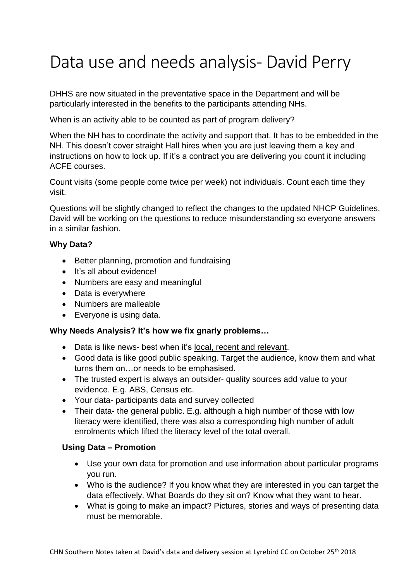# Data use and needs analysis- David Perry

DHHS are now situated in the preventative space in the Department and will be particularly interested in the benefits to the participants attending NHs.

When is an activity able to be counted as part of program delivery?

When the NH has to coordinate the activity and support that. It has to be embedded in the NH. This doesn't cover straight Hall hires when you are just leaving them a key and instructions on how to lock up. If it's a contract you are delivering you count it including ACFE courses.

Count visits (some people come twice per week) not individuals. Count each time they visit.

Questions will be slightly changed to reflect the changes to the updated NHCP Guidelines. David will be working on the questions to reduce misunderstanding so everyone answers in a similar fashion.

# **Why Data?**

- Better planning, promotion and fundraising
- It's all about evidence!
- Numbers are easy and meaningful
- Data is everywhere
- Numbers are malleable
- Everyone is using data.

### **Why Needs Analysis? It's how we fix gnarly problems…**

- Data is like news- best when it's local, recent and relevant.
- Good data is like good public speaking. Target the audience, know them and what turns them on…or needs to be emphasised.
- The trusted expert is always an outsider- quality sources add value to your evidence. E.g. ABS, Census etc.
- Your data- participants data and survey collected
- Their data- the general public. E.g. although a high number of those with low literacy were identified, there was also a corresponding high number of adult enrolments which lifted the literacy level of the total overall.

### **Using Data – Promotion**

- Use your own data for promotion and use information about particular programs you run.
- Who is the audience? If you know what they are interested in you can target the data effectively. What Boards do they sit on? Know what they want to hear.
- What is going to make an impact? Pictures, stories and ways of presenting data must be memorable.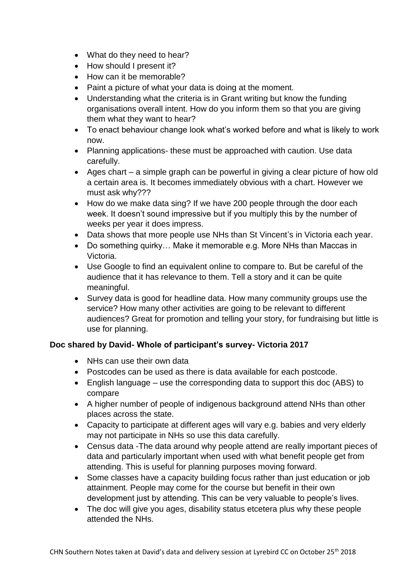- What do they need to hear?
- How should I present it?
- How can it be memorable?
- Paint a picture of what your data is doing at the moment.
- Understanding what the criteria is in Grant writing but know the funding organisations overall intent. How do you inform them so that you are giving them what they want to hear?
- To enact behaviour change look what's worked before and what is likely to work now.
- Planning applications- these must be approached with caution. Use data carefully.
- Ages chart a simple graph can be powerful in giving a clear picture of how old a certain area is. It becomes immediately obvious with a chart. However we must ask why???
- How do we make data sing? If we have 200 people through the door each week. It doesn't sound impressive but if you multiply this by the number of weeks per year it does impress.
- Data shows that more people use NHs than St Vincent's in Victoria each year.
- Do something quirky... Make it memorable e.g. More NHs than Maccas in Victoria.
- Use Google to find an equivalent online to compare to. But be careful of the audience that it has relevance to them. Tell a story and it can be quite meaningful.
- Survey data is good for headline data. How many community groups use the service? How many other activities are going to be relevant to different audiences? Great for promotion and telling your story, for fundraising but little is use for planning.

# **Doc shared by David- Whole of participant's survey- Victoria 2017**

- NHs can use their own data
- Postcodes can be used as there is data available for each postcode.
- English language use the corresponding data to support this doc (ABS) to compare
- A higher number of people of indigenous background attend NHs than other places across the state.
- Capacity to participate at different ages will vary e.g. babies and very elderly may not participate in NHs so use this data carefully.
- Census data -The data around why people attend are really important pieces of data and particularly important when used with what benefit people get from attending. This is useful for planning purposes moving forward.
- Some classes have a capacity building focus rather than just education or job attainment. People may come for the course but benefit in their own development just by attending. This can be very valuable to people's lives.
- The doc will give you ages, disability status etcetera plus why these people attended the NHs.